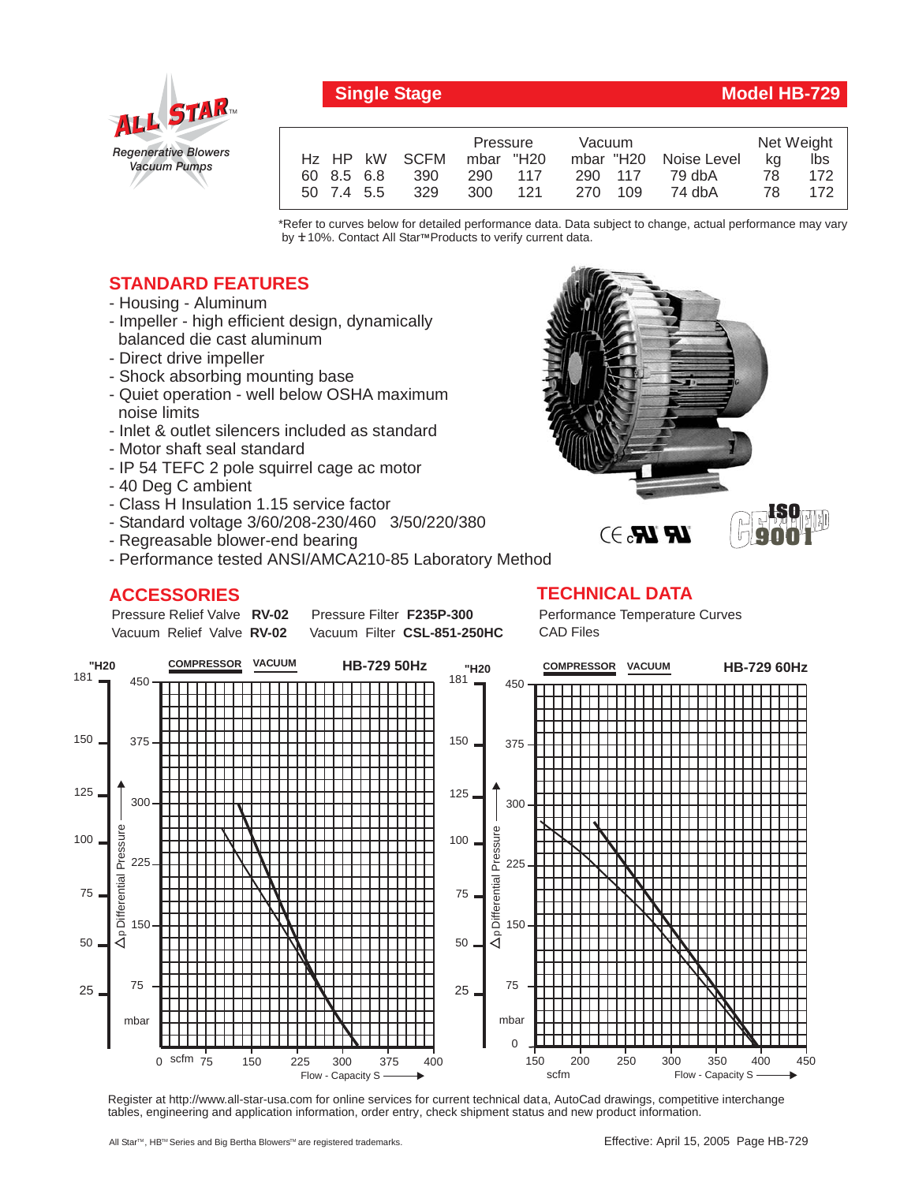

## **Single Stage Model HB-729**

**ISO**

|            |            |               | Pressure  |       | Vacuum  |  |                       | Net Weight |     |
|------------|------------|---------------|-----------|-------|---------|--|-----------------------|------------|-----|
|            |            | Hz HP kW SCFM | mbar "H20 |       |         |  | mbar "H20 Noise Level | ka         | lbs |
| 60 8.5 6.8 |            | 390           | 290 117   |       | 290 117 |  | 79 dbA                | 78.        | 172 |
|            | 50 7.4 5.5 | 329           | 300       | - 121 | 270 109 |  | 74 dbA                | 78.        | 172 |

\*Refer to curves below for detailed performance data. Data subject to change, actual performance may vary by **+** 10%. Contact All Star™Products to verify current data.

## **STANDARD FEATURES**

- Housing Aluminum
- Impeller high efficient design, dynamically balanced die cast aluminum
- Direct drive impeller
- Shock absorbing mounting base
- Quiet operation well below OSHA maximum noise limits
- Inlet & outlet silencers included as standard
- Motor shaft seal standard
- IP 54 TEFC 2 pole squirrel cage ac motor
- 40 Deg C ambient
- Class H Insulation 1.15 service factor
- Standard voltage 3/60/208-230/460 3/50/220/380
- Regreasable blower-end bearing
- Performance tested ANSI/AMCA210-85 Laboratory Method

## **ACCESSORIES**



Pressure Relief Valve RV-02 Vacuum Relief Valve RV-02 Pressure Filter F235P-300 Vacuum Filter CSL-851-250HC Performance Temperature Curves CAD Files



Register at http://www.all-star-usa.com for online services for current technical data, AutoCad drawings, competitive interchange tables, engineering and application information, order entry, check shipment status and new product information.